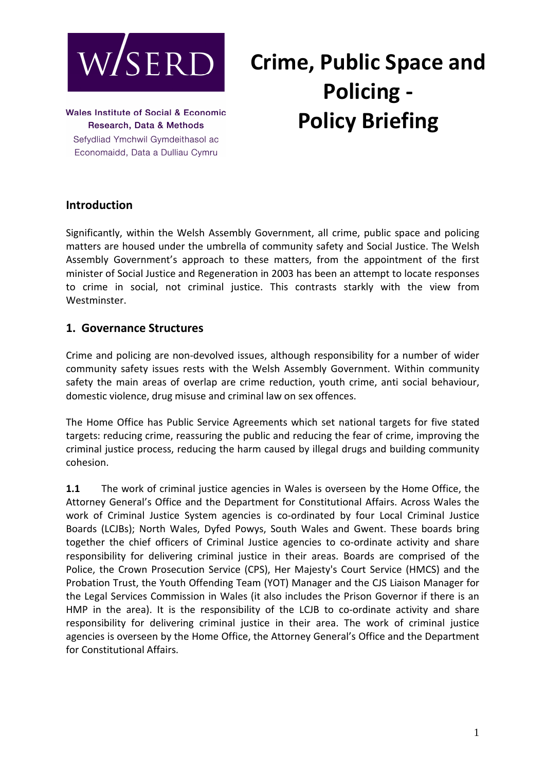

# **Crime, Public Space and Policing - Policy Briefing**

**Wales Institute of Social & Economic** Research, Data & Methods Sefydliad Ymchwil Gymdeithasol ac Economaidd, Data a Dulliau Cymru

### **Introduction**

Significantly, within the Welsh Assembly Government, all crime, public space and policing matters are housed under the umbrella of community safety and Social Justice. The Welsh Assembly Government's approach to these matters, from the appointment of the first minister of Social Justice and Regeneration in 2003 has been an attempt to locate responses to crime in social, not criminal justice. This contrasts starkly with the view from Westminster.

#### **1. Governance Structures**

Crime and policing are non-devolved issues, although responsibility for a number of wider community safety issues rests with the Welsh Assembly Government. Within community safety the main areas of overlap are crime reduction, youth crime, anti social behaviour, domestic violence, drug misuse and criminal law on sex offences.

The Home Office has Public Service Agreements which set national targets for five stated targets: reducing crime, reassuring the public and reducing the fear of crime, improving the criminal justice process, reducing the harm caused by illegal drugs and building community cohesion.

**1.1** The work of criminal justice agencies in Wales is overseen by the Home Office, the Attorney General's Office and the Department for Constitutional Affairs. Across Wales the work of Criminal Justice System agencies is co-ordinated by four Local Criminal Justice Boards (LCJBs); North Wales, Dyfed Powys, South Wales and Gwent. These boards bring together the chief officers of Criminal Justice agencies to co-ordinate activity and share responsibility for delivering criminal justice in their areas. Boards are comprised of the Police, the Crown Prosecution Service (CPS), Her Majesty's Court Service (HMCS) and the Probation Trust, the Youth Offending Team (YOT) Manager and the CJS Liaison Manager for the Legal Services Commission in Wales (it also includes the Prison Governor if there is an HMP in the area). It is the responsibility of the LCJB to co-ordinate activity and share responsibility for delivering criminal justice in their area. The work of criminal justice agencies is overseen by the Home Office, the Attorney General's Office and the Department for Constitutional Affairs.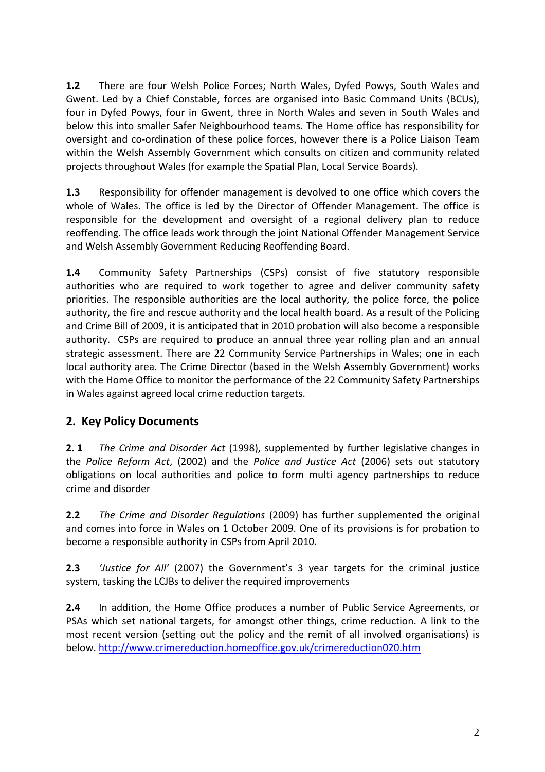**1.2** There are four Welsh Police Forces; North Wales, Dyfed Powys, South Wales and Gwent. Led by a Chief Constable, forces are organised into Basic Command Units (BCUs), four in Dyfed Powys, four in Gwent, three in North Wales and seven in South Wales and below this into smaller Safer Neighbourhood teams. The Home office has responsibility for oversight and co-ordination of these police forces, however there is a Police Liaison Team within the Welsh Assembly Government which consults on citizen and community related projects throughout Wales (for example the Spatial Plan, Local Service Boards).

**1.3** Responsibility for offender management is devolved to one office which covers the whole of Wales. The office is led by the Director of Offender Management. The office is responsible for the development and oversight of a regional delivery plan to reduce reoffending. The office leads work through the joint National Offender Management Service and Welsh Assembly Government Reducing Reoffending Board.

**1.4** Community Safety Partnerships (CSPs) consist of five statutory responsible authorities who are required to work together to agree and deliver community safety priorities. The responsible authorities are the local authority, the police force, the police authority, the fire and rescue authority and the local health board. As a result of the Policing and Crime Bill of 2009, it is anticipated that in 2010 probation will also become a responsible authority. CSPs are required to produce an annual three year rolling plan and an annual strategic assessment. There are 22 Community Service Partnerships in Wales; one in each local authority area. The Crime Director (based in the Welsh Assembly Government) works with the Home Office to monitor the performance of the 22 Community Safety Partnerships in Wales against agreed local crime reduction targets.

# **2. Key Policy Documents**

**2. 1** *The Crime and Disorder Act* (1998), supplemented by further legislative changes in the *Police Reform Act*, (2002) and the *Police and Justice Act* (2006) sets out statutory obligations on local authorities and police to form multi agency partnerships to reduce crime and disorder

**2.2** *The Crime and Disorder Regulations* (2009) has further supplemented the original and comes into force in Wales on 1 October 2009. One of its provisions is for probation to become a responsible authority in CSPs from April 2010.

**2.3** *'Justice for All'* (2007) the Government's 3 year targets for the criminal justice system, tasking the LCJBs to deliver the required improvements

**2.4** In addition, the Home Office produces a number of Public Service Agreements, or PSAs which set national targets, for amongst other things, crime reduction. A link to the most recent version (setting out the policy and the remit of all involved organisations) is below. http://www.crimereduction.homeoffice.gov.uk/crimereduction020.htm